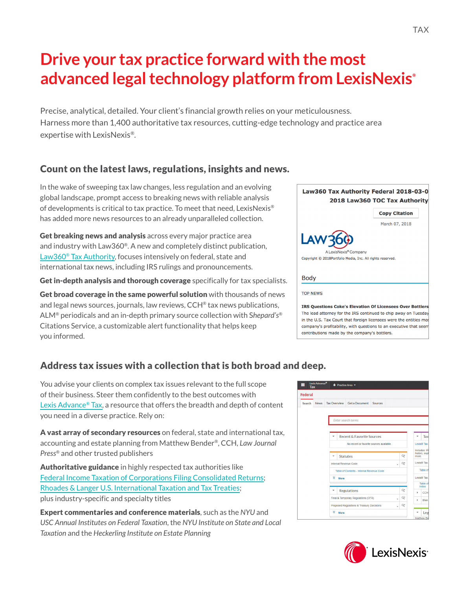# **Drive your tax practice forward with the most advanced legal technology platform from LexisNexis®**

Precise, analytical, detailed. Your client's financial growth relies on your meticulousness. Harness more than 1,400 authoritative tax resources, cutting-edge technology and prac expertise with LexisNexis®.

# Count on the latest laws, regulations, insights and news.

In the wake of sweeping tax law changes, less regulation and an evolving global landscape, prompt access to breaking news with reliable analysis of developments is critical to tax practice. To meet that need, LexisNexis® has added more news resources to an already unparalleled collection.

Get breaking news and analysis across every major practice area and industry with Law360®. A new and completely distinct publication, [Law360® Tax Authority](https://advance.lexis.com/api/permalink/f062920d-6aba-4be3-81d2-b00796c780c9/?context=1000516), focuses intensively on federal, state and international tax news, including IRS rulings and pronouncements.

Get in-depth analysis and thorough coverage specifically for tax specialists.

Get broad coverage in the same powerful solution with thousands of news and legal news sources, journals, law reviews, CCH® tax news publications, ALM® periodicals and an in-depth primary source collection with S*hepard's®* Citations Service, a customizable alert functionality that helps keep you informed.

# Address tax issues with a collection that is both broad and deep.

You advise your clients on complex tax issues relevant to the full scope of their business. Steer them confidently to the best outcomes with [Lexis Advance® Tax](https://advance.lexis.com/taxsearchhome/?pdmfid=1001091&crid=046f4c7e-bc98-4161-bade-f81273d0b176&pdtaxpracticearea=1001030&ecomp=Lpbfk&prid=0de13102-8a6f-4eff-b108-64b4fd69f33d), a resource that offers the breadth and depth of content you need in a diverse practice. Rely on:

A vast array of secondary resources on federal, state and international tax, accounting and estate planning from Matthew Bender®, CCH, *Law Journal Press®* and other trusted publishers

Authoritative guidance in highly respected tax authorities like [Federal Income Taxation of Corporations Filing Consolidated Returns](https://advance.lexis.com/api/permalink/eaff7d3b-2197-4408-b871-d38d69f73eda/?context=1000516); [Rhoades & Langer U.S. International Taxation and Tax Treaties;](https://advance.lexis.com/api/permalink/a81f90de-9087-4053-9717-1d954e3660cb/?context=1000516) plus industry-specific and specialty titles

Expert commentaries and conference materials, such as the *NYU* and *USC Annual Institutes on Federal Taxation*, the *NYU Institute on State and Local Taxation* and the *Heckerling Institute on Estate Planning* 





| ,<br>,     |  |  |
|------------|--|--|
| ctice area |  |  |
|            |  |  |
|            |  |  |
|            |  |  |
|            |  |  |
|            |  |  |

| LawJoo Tax Autholity Feueral 2010-03-0                                                                                                                                                                    | 2018 Law360 TOC Tax Authority |
|-----------------------------------------------------------------------------------------------------------------------------------------------------------------------------------------------------------|-------------------------------|
|                                                                                                                                                                                                           | <b>Copy Citation</b>          |
|                                                                                                                                                                                                           | March 07, 2018                |
| LAW360<br>A LexisNexis® Company<br>Copyright © 2018Portfolio Media, Inc. All rights reserved.                                                                                                             |                               |
| <b>Body</b>                                                                                                                                                                                               |                               |
| <b>TOP NEWS</b>                                                                                                                                                                                           |                               |
| <b>IRS Questions Coke's Elevation Of Licensees Over Bottlers</b><br>The lead attorney for the IRS continued to chip away on Tuesday<br>in the U.S. Tax Court that foreign licensees were the entities mos |                               |

company's profitability, with questions to an executive that seem

contributions made by the company's bottlers.

Law360 Tay Authority Federal 2018-03-0